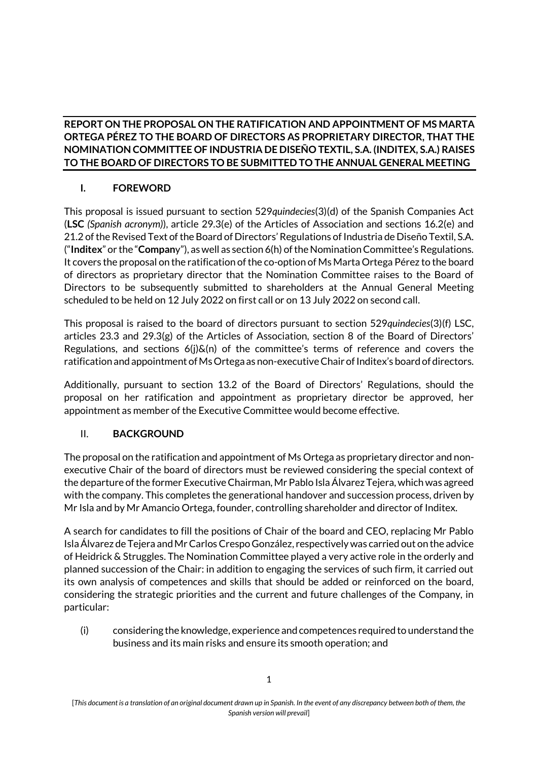### **REPORT ON THE PROPOSAL ON THE RATIFICATION AND APPOINTMENT OF MS MARTA ORTEGA PÉREZ TO THE BOARD OF DIRECTORS AS PROPRIETARY DIRECTOR, THAT THE NOMINATION COMMITTEE OF INDUSTRIA DE DISEÑO TEXTIL, S.A. (INDITEX, S.A.) RAISES TO THE BOARD OF DIRECTORS TO BE SUBMITTED TO THE ANNUAL GENERAL MEETING**

# **I. FOREWORD**

This proposal is issued pursuant to section 529*quindecies*(3)(d) of the Spanish Companies Act (**LSC** *(Spanish acronym)*), article 29.3(e) of the Articles of Association and sections 16.2(e) and 21.2 of the Revised Text of the Board of Directors' Regulations of Industria de Diseño Textil, S.A. ("**Inditex**" or the "**Compan**y"), as well as section 6(h) of the Nomination Committee's Regulations. It covers the proposal on the ratification of the co-option of Ms Marta Ortega Pérez to the board of directors as proprietary director that the Nomination Committee raises to the Board of Directors to be subsequently submitted to shareholders at the Annual General Meeting scheduled to be held on 12 July 2022 on first call or on 13 July 2022 on second call.

This proposal is raised to the board of directors pursuant to section 529*quindecies*(3)(f) LSC, articles 23.3 and 29.3(g) of the Articles of Association, section 8 of the Board of Directors' Regulations, and sections  $6(j)\&(n)$  of the committee's terms of reference and covers the ratification and appointment of Ms Ortega as non-executive Chair of Inditex's board of directors.

Additionally, pursuant to section 13.2 of the Board of Directors' Regulations, should the proposal on her ratification and appointment as proprietary director be approved, her appointment as member of the Executive Committee would become effective.

# II. **BACKGROUND**

The proposal on the ratification and appointment of Ms Ortega as proprietary director and nonexecutive Chair of the board of directors must be reviewed considering the special context of the departure of the former Executive Chairman, Mr Pablo Isla Álvarez Tejera, which was agreed with the company. This completes the generational handover and succession process, driven by Mr Isla and by Mr Amancio Ortega, founder, controlling shareholder and director of Inditex.

A search for candidates to fill the positions of Chair of the board and CEO, replacing Mr Pablo Isla Álvarez de Tejera and Mr Carlos Crespo González, respectively was carried out on the advice of Heidrick & Struggles. The Nomination Committee played a very active role in the orderly and planned succession of the Chair: in addition to engaging the services of such firm, it carried out its own analysis of competences and skills that should be added or reinforced on the board, considering the strategic priorities and the current and future challenges of the Company, in particular:

(i) considering the knowledge, experience and competences required to understand the business and its main risks and ensure its smooth operation; and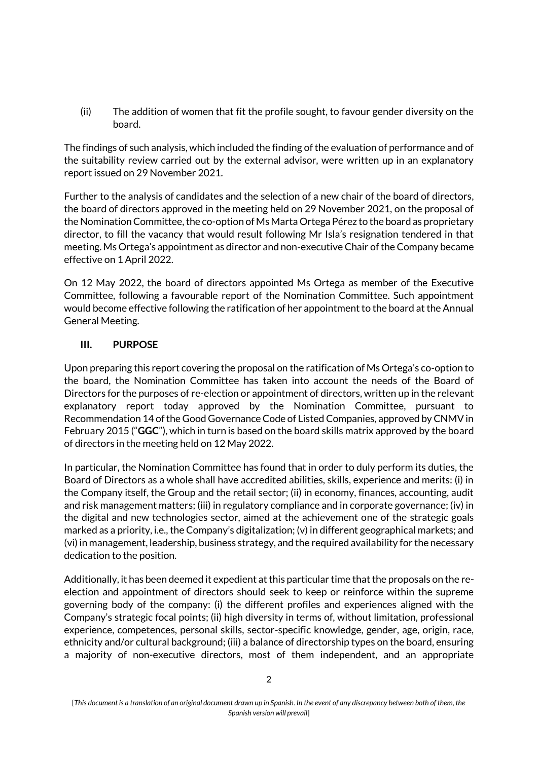(ii) The addition of women that fit the profile sought, to favour gender diversity on the board.

The findings of such analysis, which included the finding of the evaluation of performance and of the suitability review carried out by the external advisor, were written up in an explanatory report issued on 29 November 2021.

Further to the analysis of candidates and the selection of a new chair of the board of directors, the board of directors approved in the meeting held on 29 November 2021, on the proposal of the Nomination Committee, the co-option of Ms Marta Ortega Pérez to the board as proprietary director, to fill the vacancy that would result following Mr Isla's resignation tendered in that meeting. Ms Ortega's appointment as director and non-executive Chair of the Company became effective on 1 April 2022.

On 12 May 2022, the board of directors appointed Ms Ortega as member of the Executive Committee, following a favourable report of the Nomination Committee. Such appointment would become effective following the ratification of her appointment to the board at the Annual General Meeting.

### **III. PURPOSE**

Upon preparing this report covering the proposal on the ratification of Ms Ortega's co-option to the board, the Nomination Committee has taken into account the needs of the Board of Directors for the purposes of re-election or appointment of directors, written up in the relevant explanatory report today approved by the Nomination Committee, pursuant to Recommendation 14 of the Good Governance Code of Listed Companies, approved by CNMV in February 2015 ("**GGC**"), which in turn is based on the board skills matrix approved by the board of directors in the meeting held on 12 May 2022.

In particular, the Nomination Committee has found that in order to duly perform its duties, the Board of Directors as a whole shall have accredited abilities, skills, experience and merits: (i) in the Company itself, the Group and the retail sector; (ii) in economy, finances, accounting, audit and risk management matters; (iii) in regulatory compliance and in corporate governance; (iv) in the digital and new technologies sector, aimed at the achievement one of the strategic goals marked as a priority, i.e., the Company's digitalization; (v) in different geographical markets; and (vi) in management, leadership, business strategy, and the required availability for the necessary dedication to the position.

Additionally, it has been deemed it expedient at this particular time that the proposals on the reelection and appointment of directors should seek to keep or reinforce within the supreme governing body of the company: (i) the different profiles and experiences aligned with the Company's strategic focal points; (ii) high diversity in terms of, without limitation, professional experience, competences, personal skills, sector-specific knowledge, gender, age, origin, race, ethnicity and/or cultural background; (iii) a balance of directorship types on the board, ensuring a majority of non-executive directors, most of them independent, and an appropriate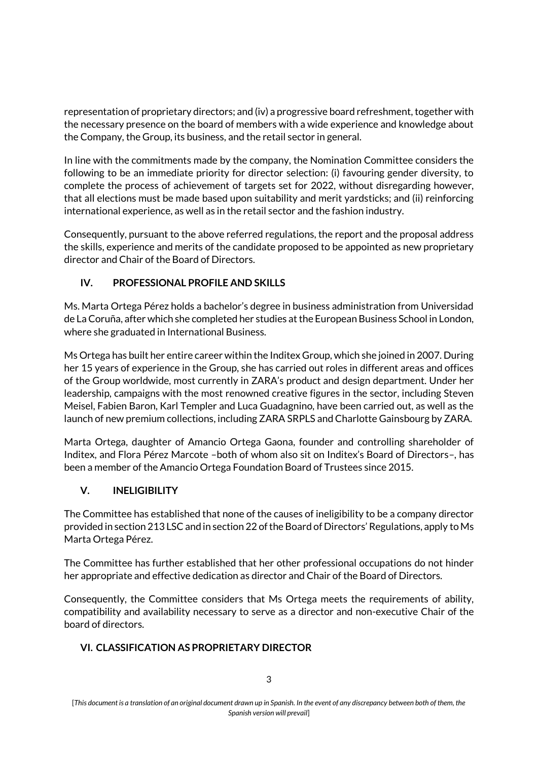representation of proprietary directors; and (iv) a progressive board refreshment, together with the necessary presence on the board of members with a wide experience and knowledge about the Company, the Group, its business, and the retail sector in general.

In line with the commitments made by the company, the Nomination Committee considers the following to be an immediate priority for director selection: (i) favouring gender diversity, to complete the process of achievement of targets set for 2022, without disregarding however, that all elections must be made based upon suitability and merit yardsticks; and (ii) reinforcing international experience, as well as in the retail sector and the fashion industry.

Consequently, pursuant to the above referred regulations, the report and the proposal address the skills, experience and merits of the candidate proposed to be appointed as new proprietary director and Chair of the Board of Directors.

# **IV. PROFESSIONAL PROFILE AND SKILLS**

Ms. Marta Ortega Pérez holds a bachelor's degree in business administration from Universidad de La Coruña, after which she completed her studies at the European Business School in London, where she graduated in International Business.

Ms Ortega has built her entire career within the Inditex Group, which she joined in 2007. During her 15 years of experience in the Group, she has carried out roles in different areas and offices of the Group worldwide, most currently in ZARA's product and design department. Under her leadership, campaigns with the most renowned creative figures in the sector, including Steven Meisel, Fabien Baron, Karl Templer and Luca Guadagnino, have been carried out, as well as the launch of new premium collections, including ZARA SRPLS and Charlotte Gainsbourg by ZARA.

Marta Ortega, daughter of Amancio Ortega Gaona, founder and controlling shareholder of Inditex, and Flora Pérez Marcote –both of whom also sit on Inditex's Board of Directors–, has been a member of the Amancio Ortega Foundation Board of Trustees since 2015.

### **V. INELIGIBILITY**

The Committee has established that none of the causes of ineligibility to be a company director provided in section 213 LSC and in section 22 of the Board of Directors' Regulations, apply to Ms Marta Ortega Pérez.

The Committee has further established that her other professional occupations do not hinder her appropriate and effective dedication as director and Chair of the Board of Directors.

Consequently, the Committee considers that Ms Ortega meets the requirements of ability, compatibility and availability necessary to serve as a director and non-executive Chair of the board of directors.

### **VI. CLASSIFICATION AS PROPRIETARY DIRECTOR**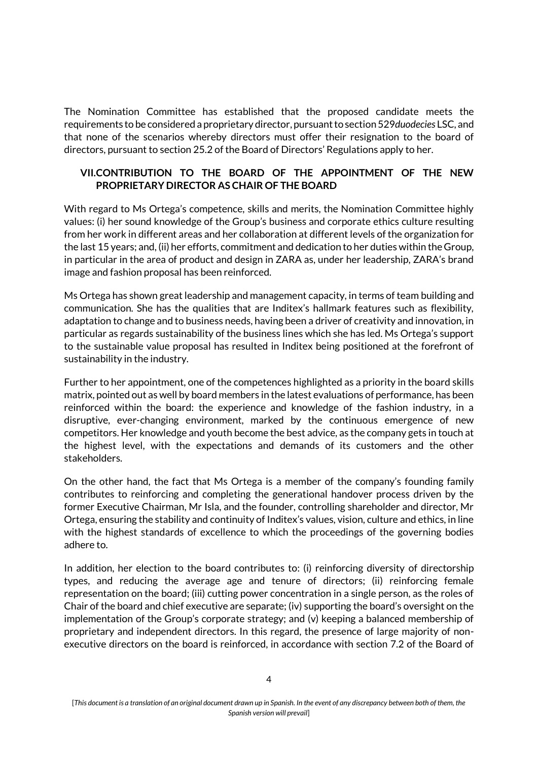The Nomination Committee has established that the proposed candidate meets the requirements to be considered a proprietary director, pursuant to section 529*duodecies* LSC, and that none of the scenarios whereby directors must offer their resignation to the board of directors, pursuant to section 25.2 of the Board of Directors' Regulations apply to her.

#### **VII.CONTRIBUTION TO THE BOARD OF THE APPOINTMENT OF THE NEW PROPRIETARY DIRECTOR AS CHAIR OF THE BOARD**

With regard to Ms Ortega's competence, skills and merits, the Nomination Committee highly values: (i) her sound knowledge of the Group's business and corporate ethics culture resulting from her work in different areas and her collaboration at different levels of the organization for the last 15 years; and, (ii) her efforts, commitment and dedication to her duties within the Group, in particular in the area of product and design in ZARA as, under her leadership, ZARA's brand image and fashion proposal has been reinforced.

Ms Ortega has shown great leadership and management capacity, in terms of team building and communication. She has the qualities that are Inditex's hallmark features such as flexibility, adaptation to change and to business needs, having been a driver of creativity and innovation, in particular as regards sustainability of the business lines which she has led. Ms Ortega's support to the sustainable value proposal has resulted in Inditex being positioned at the forefront of sustainability in the industry.

Further to her appointment, one of the competences highlighted as a priority in the board skills matrix, pointed out as well by board members in the latest evaluations of performance, has been reinforced within the board: the experience and knowledge of the fashion industry, in a disruptive, ever-changing environment, marked by the continuous emergence of new competitors. Her knowledge and youth become the best advice, as the company gets in touch at the highest level, with the expectations and demands of its customers and the other stakeholders.

On the other hand, the fact that Ms Ortega is a member of the company's founding family contributes to reinforcing and completing the generational handover process driven by the former Executive Chairman, Mr Isla, and the founder, controlling shareholder and director, Mr Ortega, ensuring the stability and continuity of Inditex's values, vision, culture and ethics, in line with the highest standards of excellence to which the proceedings of the governing bodies adhere to.

In addition, her election to the board contributes to: (i) reinforcing diversity of directorship types, and reducing the average age and tenure of directors; (ii) reinforcing female representation on the board; (iii) cutting power concentration in a single person, as the roles of Chair of the board and chief executive are separate; (iv) supporting the board's oversight on the implementation of the Group's corporate strategy; and (v) keeping a balanced membership of proprietary and independent directors. In this regard, the presence of large majority of nonexecutive directors on the board is reinforced, in accordance with section 7.2 of the Board of